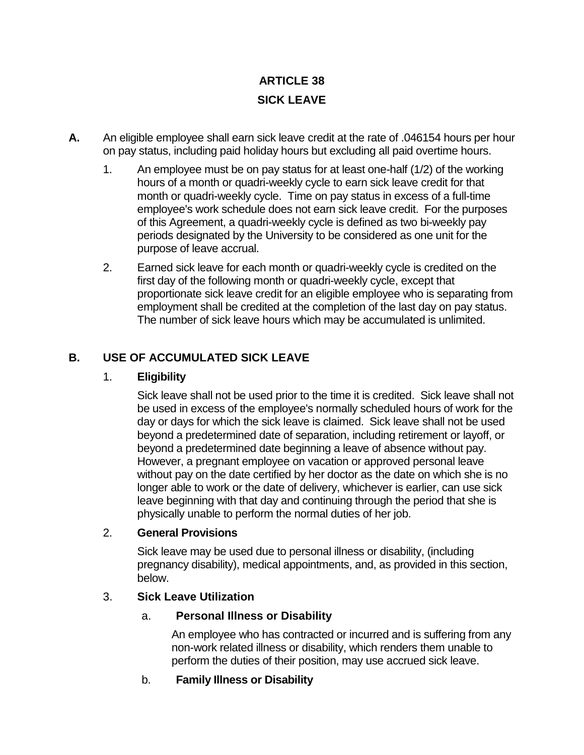# **ARTICLE 38 SICK LEAVE**

- **A.** An eligible employee shall earn sick leave credit at the rate of .046154 hours per hour on pay status, including paid holiday hours but excluding all paid overtime hours.
	- 1. An employee must be on pay status for at least one-half (1/2) of the working hours of a month or quadri-weekly cycle to earn sick leave credit for that month or quadri-weekly cycle. Time on pay status in excess of a full-time employee's work schedule does not earn sick leave credit. For the purposes of this Agreement, a quadri-weekly cycle is defined as two bi-weekly pay periods designated by the University to be considered as one unit for the purpose of leave accrual.
	- 2. Earned sick leave for each month or quadri-weekly cycle is credited on the first day of the following month or quadri-weekly cycle, except that proportionate sick leave credit for an eligible employee who is separating from employment shall be credited at the completion of the last day on pay status. The number of sick leave hours which may be accumulated is unlimited.

# **B. USE OF ACCUMULATED SICK LEAVE**

### 1. **Eligibility**

Sick leave shall not be used prior to the time it is credited. Sick leave shall not be used in excess of the employee's normally scheduled hours of work for the day or days for which the sick leave is claimed. Sick leave shall not be used beyond a predetermined date of separation, including retirement or layoff, or beyond a predetermined date beginning a leave of absence without pay. However, a pregnant employee on vacation or approved personal leave without pay on the date certified by her doctor as the date on which she is no longer able to work or the date of delivery, whichever is earlier, can use sick leave beginning with that day and continuing through the period that she is physically unable to perform the normal duties of her job.

### 2. **General Provisions**

Sick leave may be used due to personal illness or disability, (including pregnancy disability), medical appointments, and, as provided in this section, below.

# 3. **Sick Leave Utilization**

### a. **Personal Illness or Disability**

An employee who has contracted or incurred and is suffering from any non-work related illness or disability, which renders them unable to perform the duties of their position, may use accrued sick leave.

# b. **Family Illness or Disability**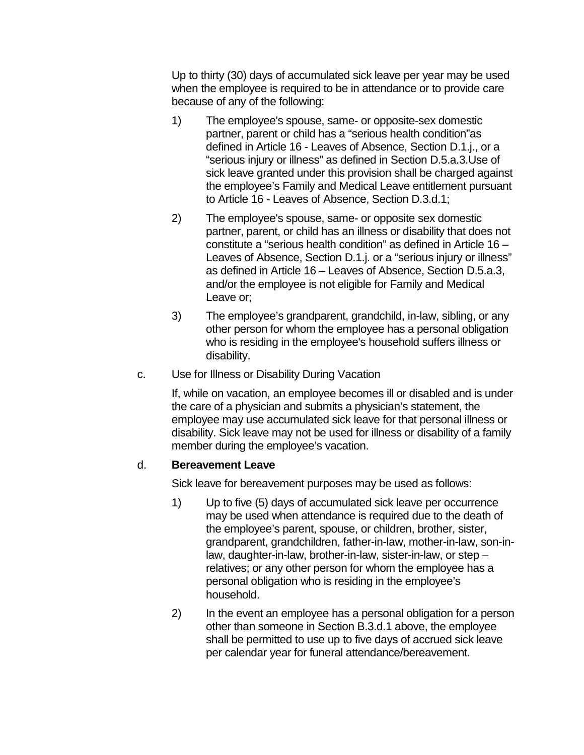Up to thirty (30) days of accumulated sick leave per year may be used when the employee is required to be in attendance or to provide care because of any of the following:

- 1) The employee's spouse, same- or opposite-sex domestic partner, parent or child has a "serious health condition"as defined in Article 16 - Leaves of Absence, Section D.1.j., or a "serious injury or illness" as defined in Section D.5.a.3.Use of sick leave granted under this provision shall be charged against the employee's Family and Medical Leave entitlement pursuant to Article 16 - Leaves of Absence, Section D.3.d.1;
- 2) The employee's spouse, same- or opposite sex domestic partner, parent, or child has an illness or disability that does not constitute a "serious health condition" as defined in Article 16 – Leaves of Absence, Section D.1.j. or a "serious injury or illness" as defined in Article 16 – Leaves of Absence, Section D.5.a.3, and/or the employee is not eligible for Family and Medical Leave or;
- 3) The employee's grandparent, grandchild, in-law, sibling, or any other person for whom the employee has a personal obligation who is residing in the employee's household suffers illness or disability.
- c. Use for Illness or Disability During Vacation

If, while on vacation, an employee becomes ill or disabled and is under the care of a physician and submits a physician's statement, the employee may use accumulated sick leave for that personal illness or disability. Sick leave may not be used for illness or disability of a family member during the employee's vacation.

### d. **Bereavement Leave**

Sick leave for bereavement purposes may be used as follows:

- 1) Up to five (5) days of accumulated sick leave per occurrence may be used when attendance is required due to the death of the employee's parent, spouse, or children, brother, sister, grandparent, grandchildren, father-in-law, mother-in-law, son-inlaw, daughter-in-law, brother-in-law, sister-in-law, or step – relatives; or any other person for whom the employee has a personal obligation who is residing in the employee's household.
- 2) In the event an employee has a personal obligation for a person other than someone in Section B.3.d.1 above, the employee shall be permitted to use up to five days of accrued sick leave per calendar year for funeral attendance/bereavement.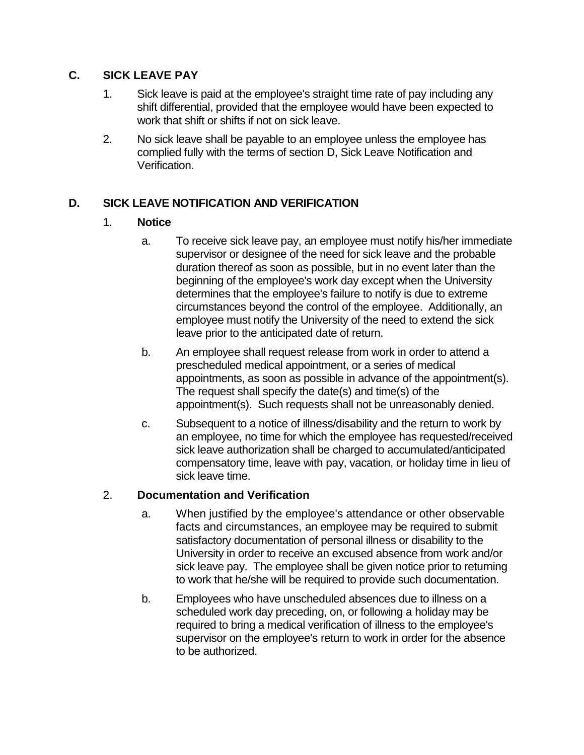### **C. SICK LEAVE PAY**

- 1. Sick leave is paid at the employee's straight time rate of pay including any shift differential, provided that the employee would have been expected to work that shift or shifts if not on sick leave.
- 2. No sick leave shall be payable to an employee unless the employee has complied fully with the terms of section D, Sick Leave Notification and Verification.

# **D. SICK LEAVE NOTIFICATION AND VERIFICATION**

# 1. **Notice**

- a. To receive sick leave pay, an employee must notify his/her immediate supervisor or designee of the need for sick leave and the probable duration thereof as soon as possible, but in no event later than the beginning of the employee's work day except when the University determines that the employee's failure to notify is due to extreme circumstances beyond the control of the employee. Additionally, an employee must notify the University of the need to extend the sick leave prior to the anticipated date of return.
- b. An employee shall request release from work in order to attend a prescheduled medical appointment, or a series of medical appointments, as soon as possible in advance of the appointment(s). The request shall specify the date(s) and time(s) of the appointment(s). Such requests shall not be unreasonably denied.
- c. Subsequent to a notice of illness/disability and the return to work by an employee, no time for which the employee has requested/received sick leave authorization shall be charged to accumulated/anticipated compensatory time, leave with pay, vacation, or holiday time in lieu of sick leave time.

# 2. **Documentation and Verification**

- a. When justified by the employee's attendance or other observable facts and circumstances, an employee may be required to submit satisfactory documentation of personal illness or disability to the University in order to receive an excused absence from work and/or sick leave pay. The employee shall be given notice prior to returning to work that he/she will be required to provide such documentation.
- b. Employees who have unscheduled absences due to illness on a scheduled work day preceding, on, or following a holiday may be required to bring a medical verification of illness to the employee's supervisor on the employee's return to work in order for the absence to be authorized.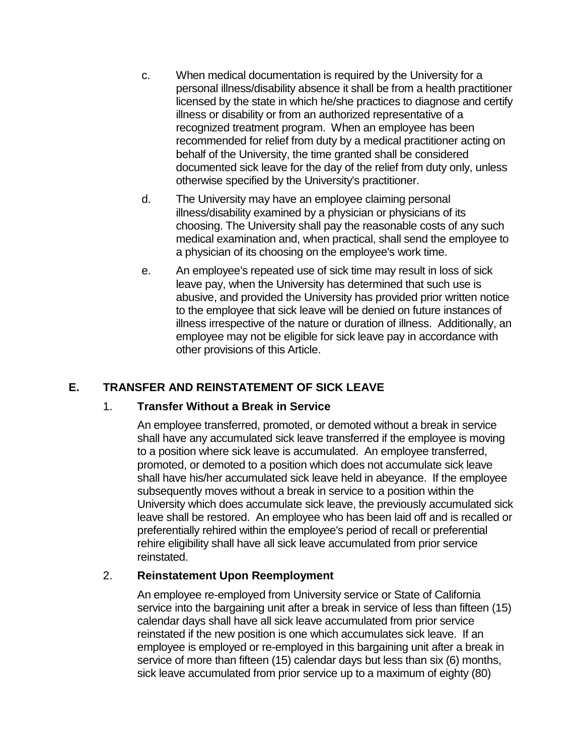- c. When medical documentation is required by the University for a personal illness/disability absence it shall be from a health practitioner licensed by the state in which he/she practices to diagnose and certify illness or disability or from an authorized representative of a recognized treatment program. When an employee has been recommended for relief from duty by a medical practitioner acting on behalf of the University, the time granted shall be considered documented sick leave for the day of the relief from duty only, unless otherwise specified by the University's practitioner.
- d. The University may have an employee claiming personal illness/disability examined by a physician or physicians of its choosing. The University shall pay the reasonable costs of any such medical examination and, when practical, shall send the employee to a physician of its choosing on the employee's work time.
- e. An employee's repeated use of sick time may result in loss of sick leave pay, when the University has determined that such use is abusive, and provided the University has provided prior written notice to the employee that sick leave will be denied on future instances of illness irrespective of the nature or duration of illness. Additionally, an employee may not be eligible for sick leave pay in accordance with other provisions of this Article.

# **E. TRANSFER AND REINSTATEMENT OF SICK LEAVE**

### 1. **Transfer Without a Break in Service**

An employee transferred, promoted, or demoted without a break in service shall have any accumulated sick leave transferred if the employee is moving to a position where sick leave is accumulated. An employee transferred, promoted, or demoted to a position which does not accumulate sick leave shall have his/her accumulated sick leave held in abeyance. If the employee subsequently moves without a break in service to a position within the University which does accumulate sick leave, the previously accumulated sick leave shall be restored. An employee who has been laid off and is recalled or preferentially rehired within the employee's period of recall or preferential rehire eligibility shall have all sick leave accumulated from prior service reinstated.

### 2. **Reinstatement Upon Reemployment**

An employee re-employed from University service or State of California service into the bargaining unit after a break in service of less than fifteen (15) calendar days shall have all sick leave accumulated from prior service reinstated if the new position is one which accumulates sick leave. If an employee is employed or re-employed in this bargaining unit after a break in service of more than fifteen (15) calendar days but less than six (6) months, sick leave accumulated from prior service up to a maximum of eighty (80)